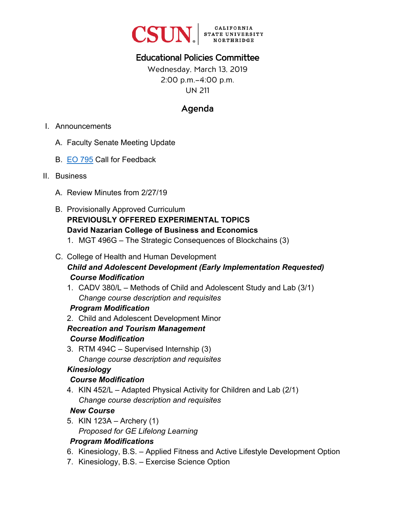

# Educational Policies Committee

Wednesday, March 13, 2019 2:00 p.m.–4:00 p.m. UN 211

# Agenda

- I. Announcements
	- A. Faculty Senate Meeting Update
	- B. [EO 795](https://www.calstate.edu/eo/EO-795.pdf) Call for Feedback
- II. Business
	- A. Review Minutes from 2/27/19
	- B. Provisionally Approved Curriculum **PREVIOUSLY OFFERED EXPERIMENTAL TOPICS David Nazarian College of Business and Economics** 
		- 1. MGT 496G The Strategic Consequences of Blockchains (3)
	- C. College of Health and Human Development *Child and Adolescent Development (Early Implementation Requested) Course Modification* 
		- 1. CADV 380/L Methods of Child and Adolescent Study and Lab (3/1) *Change course description and requisites*

#### *Program Modification*

2. Child and Adolescent Development Minor

#### *Recreation and Tourism Management Course Modification*

3. RTM 494C – Supervised Internship (3) *Change course description and requisites*

#### *Kinesiology*

#### *Course Modification*

4. KIN 452/L – Adapted Physical Activity for Children and Lab (2/1) *Change course description and requisites* 

#### *New Course*

5. KIN 123A – Archery (1) *Proposed for GE Lifelong Learning*

#### *Program Modifications*

- 6. Kinesiology, B.S. Applied Fitness and Active Lifestyle Development Option
- 7. Kinesiology, B.S. Exercise Science Option